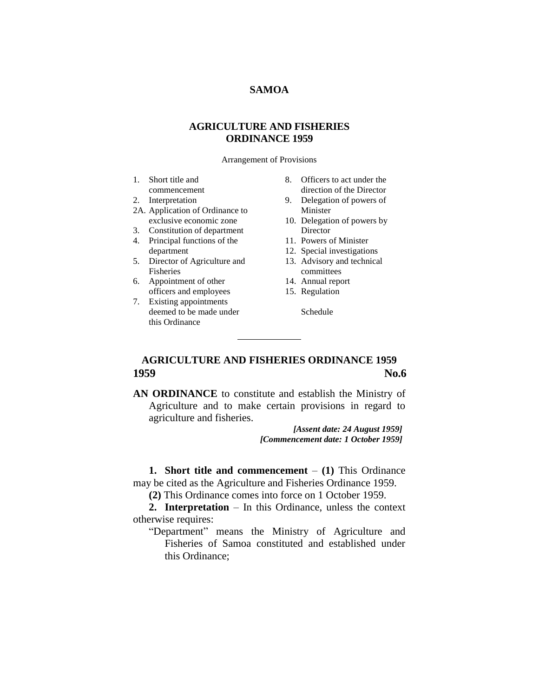## **SAMOA**

## **AGRICULTURE AND FISHERIES ORDINANCE 1959**

Arrangement of Provisions

- 1. Short title and
- commencement
- 2. Interpretation
- 2A. Application of Ordinance to exclusive economic zone
- 3. Constitution of department
- 4. Principal functions of the department
- 5. Director of Agriculture and Fisheries
- 6. Appointment of other officers and employees
- 7. Existing appointments deemed to be made under this Ordinance
- 8. Officers to act under the direction of the Director
- 9. Delegation of powers of Minister
- 10. Delegation of powers by **Director**
- 11. Powers of Minister
- 12. Special investigations
- 13. Advisory and technical committees
- 14. Annual report
- 15. Regulation
	- Schedule

# **AGRICULTURE AND FISHERIES ORDINANCE 1959 1959 No.6**

**AN ORDINANCE** to constitute and establish the Ministry of Agriculture and to make certain provisions in regard to agriculture and fisheries.

> *[Assent date: 24 August 1959] [Commencement date: 1 October 1959]*

**1. Short title and commencement** – **(1)** This Ordinance may be cited as the Agriculture and Fisheries Ordinance 1959.

**(2)** This Ordinance comes into force on 1 October 1959.

**2. Interpretation** – In this Ordinance, unless the context otherwise requires:

"Department" means the Ministry of Agriculture and Fisheries of Samoa constituted and established under this Ordinance;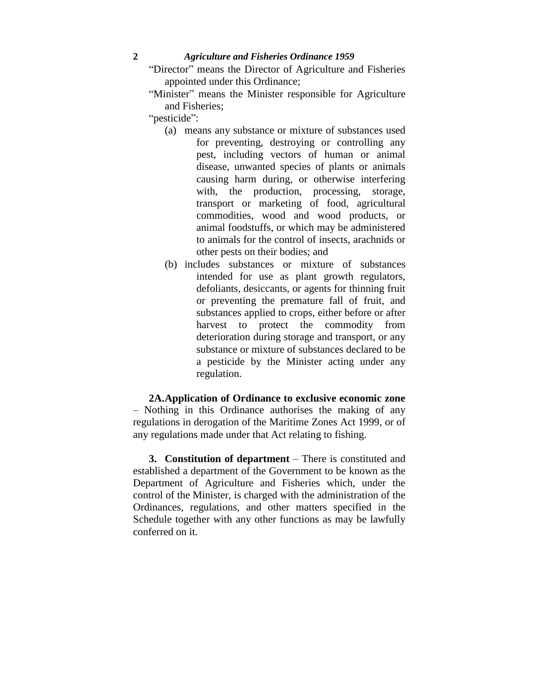- "Director" means the Director of Agriculture and Fisheries appointed under this Ordinance;
- "Minister" means the Minister responsible for Agriculture and Fisheries;
- "pesticide":
	- (a) means any substance or mixture of substances used for preventing, destroying or controlling any pest, including vectors of human or animal disease, unwanted species of plants or animals causing harm during, or otherwise interfering with, the production, processing, storage, transport or marketing of food, agricultural commodities, wood and wood products, or animal foodstuffs, or which may be administered to animals for the control of insects, arachnids or other pests on their bodies; and
	- (b) includes substances or mixture of substances intended for use as plant growth regulators, defoliants, desiccants, or agents for thinning fruit or preventing the premature fall of fruit, and substances applied to crops, either before or after harvest to protect the commodity from deterioration during storage and transport, or any substance or mixture of substances declared to be a pesticide by the Minister acting under any regulation.

**2A.Application of Ordinance to exclusive economic zone** – Nothing in this Ordinance authorises the making of any regulations in derogation of the Maritime Zones Act 1999, or of any regulations made under that Act relating to fishing.

**3. Constitution of department** – There is constituted and established a department of the Government to be known as the Department of Agriculture and Fisheries which, under the control of the Minister, is charged with the administration of the Ordinances, regulations, and other matters specified in the Schedule together with any other functions as may be lawfully conferred on it.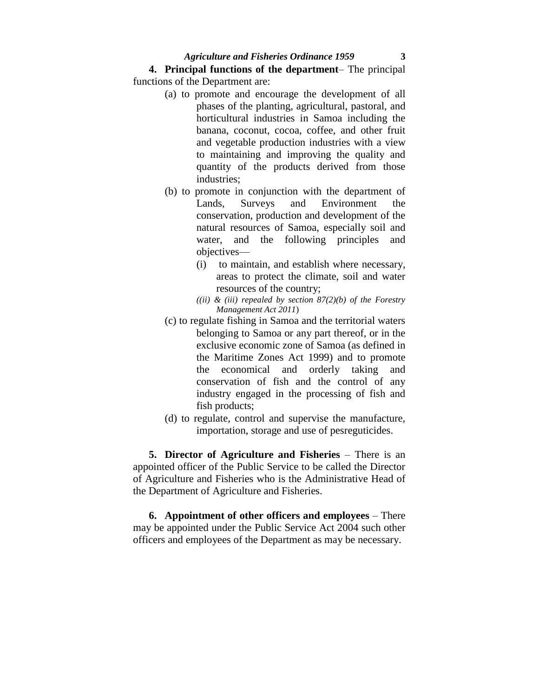**4. Principal functions of the department**– The principal functions of the Department are:

- (a) to promote and encourage the development of all phases of the planting, agricultural, pastoral, and horticultural industries in Samoa including the banana, coconut, cocoa, coffee, and other fruit and vegetable production industries with a view to maintaining and improving the quality and quantity of the products derived from those industries;
- (b) to promote in conjunction with the department of Lands, Surveys and Environment the conservation, production and development of the natural resources of Samoa, especially soil and water, and the following principles and objectives—
	- (i) to maintain, and establish where necessary, areas to protect the climate, soil and water resources of the country;
	- *((ii) & (iii) repealed by section 87(2)(b) of the Forestry Management Act 2011*)
- (c) to regulate fishing in Samoa and the territorial waters belonging to Samoa or any part thereof, or in the exclusive economic zone of Samoa (as defined in the Maritime Zones Act 1999) and to promote the economical and orderly taking and conservation of fish and the control of any industry engaged in the processing of fish and fish products;
- (d) to regulate, control and supervise the manufacture, importation, storage and use of pesreguticides.

**5. Director of Agriculture and Fisheries** – There is an appointed officer of the Public Service to be called the Director of Agriculture and Fisheries who is the Administrative Head of the Department of Agriculture and Fisheries.

**6. Appointment of other officers and employees** – There may be appointed under the Public Service Act 2004 such other officers and employees of the Department as may be necessary.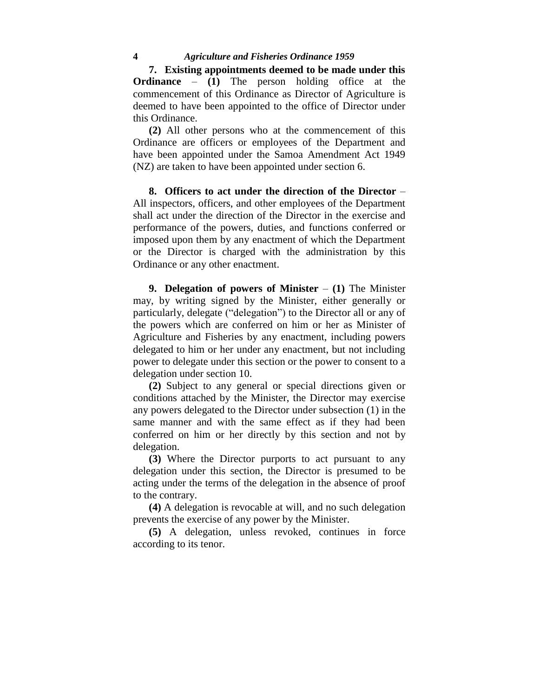**7. Existing appointments deemed to be made under this Ordinance** – **(1)** The person holding office at the commencement of this Ordinance as Director of Agriculture is deemed to have been appointed to the office of Director under this Ordinance.

**(2)** All other persons who at the commencement of this Ordinance are officers or employees of the Department and have been appointed under the Samoa Amendment Act 1949 (NZ) are taken to have been appointed under section 6.

**8. Officers to act under the direction of the Director** – All inspectors, officers, and other employees of the Department shall act under the direction of the Director in the exercise and performance of the powers, duties, and functions conferred or imposed upon them by any enactment of which the Department or the Director is charged with the administration by this Ordinance or any other enactment.

**9. Delegation of powers of Minister** – **(1)** The Minister may, by writing signed by the Minister, either generally or particularly, delegate ("delegation") to the Director all or any of the powers which are conferred on him or her as Minister of Agriculture and Fisheries by any enactment, including powers delegated to him or her under any enactment, but not including power to delegate under this section or the power to consent to a delegation under section 10.

**(2)** Subject to any general or special directions given or conditions attached by the Minister, the Director may exercise any powers delegated to the Director under subsection (1) in the same manner and with the same effect as if they had been conferred on him or her directly by this section and not by delegation.

**(3)** Where the Director purports to act pursuant to any delegation under this section, the Director is presumed to be acting under the terms of the delegation in the absence of proof to the contrary.

**(4)** A delegation is revocable at will, and no such delegation prevents the exercise of any power by the Minister.

**(5)** A delegation, unless revoked, continues in force according to its tenor.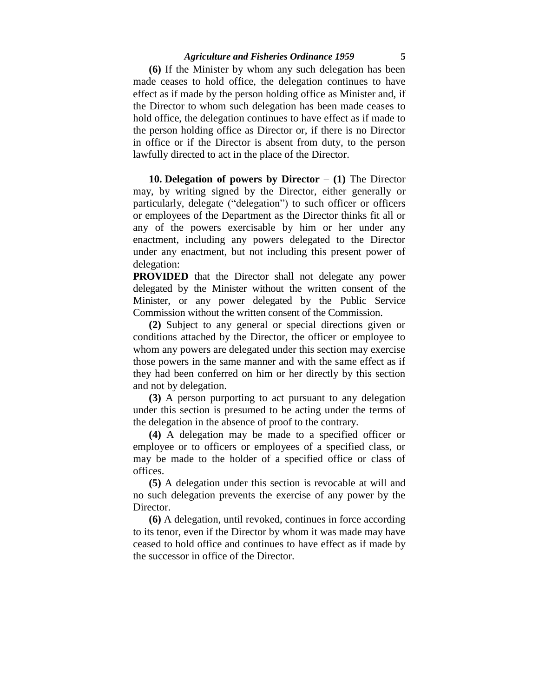**(6)** If the Minister by whom any such delegation has been made ceases to hold office, the delegation continues to have effect as if made by the person holding office as Minister and, if the Director to whom such delegation has been made ceases to hold office, the delegation continues to have effect as if made to the person holding office as Director or, if there is no Director in office or if the Director is absent from duty, to the person lawfully directed to act in the place of the Director.

**10. Delegation of powers by Director** – **(1)** The Director may, by writing signed by the Director, either generally or particularly, delegate ("delegation") to such officer or officers or employees of the Department as the Director thinks fit all or any of the powers exercisable by him or her under any enactment, including any powers delegated to the Director under any enactment, but not including this present power of delegation:

**PROVIDED** that the Director shall not delegate any power delegated by the Minister without the written consent of the Minister, or any power delegated by the Public Service Commission without the written consent of the Commission.

**(2)** Subject to any general or special directions given or conditions attached by the Director, the officer or employee to whom any powers are delegated under this section may exercise those powers in the same manner and with the same effect as if they had been conferred on him or her directly by this section and not by delegation.

**(3)** A person purporting to act pursuant to any delegation under this section is presumed to be acting under the terms of the delegation in the absence of proof to the contrary.

**(4)** A delegation may be made to a specified officer or employee or to officers or employees of a specified class, or may be made to the holder of a specified office or class of offices.

**(5)** A delegation under this section is revocable at will and no such delegation prevents the exercise of any power by the Director.

**(6)** A delegation, until revoked, continues in force according to its tenor, even if the Director by whom it was made may have ceased to hold office and continues to have effect as if made by the successor in office of the Director.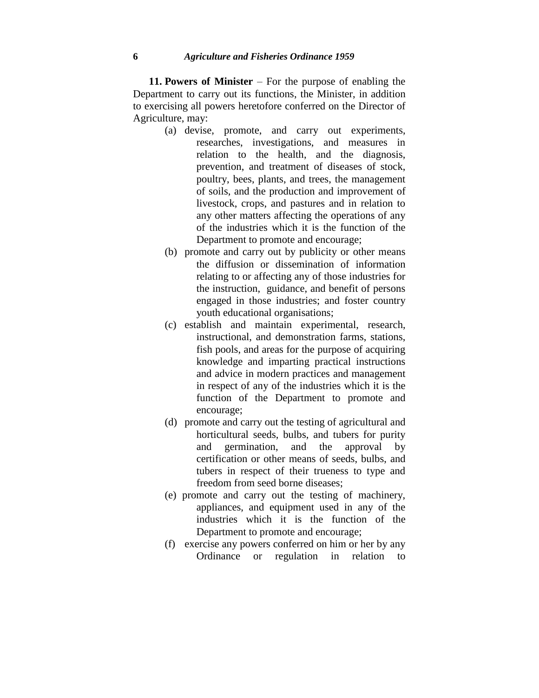**11. Powers of Minister** – For the purpose of enabling the Department to carry out its functions, the Minister, in addition to exercising all powers heretofore conferred on the Director of Agriculture, may:

- (a) devise, promote, and carry out experiments, researches, investigations, and measures in relation to the health, and the diagnosis, prevention, and treatment of diseases of stock, poultry, bees, plants, and trees, the management of soils, and the production and improvement of livestock, crops, and pastures and in relation to any other matters affecting the operations of any of the industries which it is the function of the Department to promote and encourage;
- (b) promote and carry out by publicity or other means the diffusion or dissemination of information relating to or affecting any of those industries for the instruction, guidance, and benefit of persons engaged in those industries; and foster country youth educational organisations;
- (c) establish and maintain experimental, research, instructional, and demonstration farms, stations, fish pools, and areas for the purpose of acquiring knowledge and imparting practical instructions and advice in modern practices and management in respect of any of the industries which it is the function of the Department to promote and encourage;
- (d) promote and carry out the testing of agricultural and horticultural seeds, bulbs, and tubers for purity and germination, and the approval by certification or other means of seeds, bulbs, and tubers in respect of their trueness to type and freedom from seed borne diseases;
- (e) promote and carry out the testing of machinery, appliances, and equipment used in any of the industries which it is the function of the Department to promote and encourage;
- (f) exercise any powers conferred on him or her by any Ordinance or regulation in relation to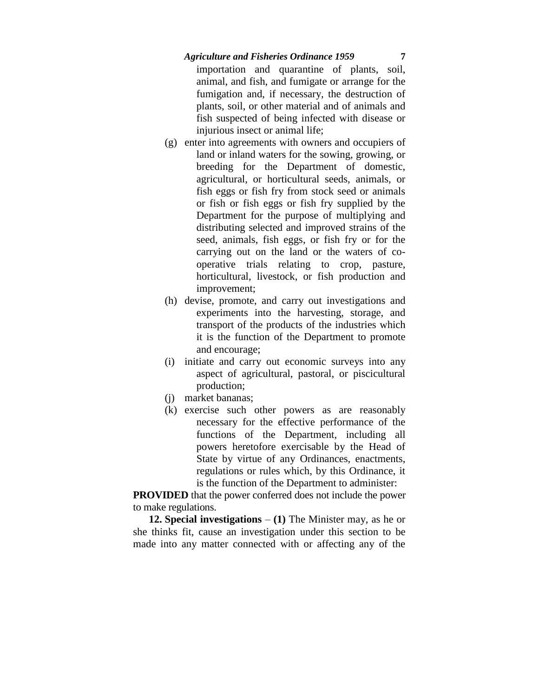importation and quarantine of plants, soil, animal, and fish, and fumigate or arrange for the fumigation and, if necessary, the destruction of plants, soil, or other material and of animals and fish suspected of being infected with disease or injurious insect or animal life;

- (g) enter into agreements with owners and occupiers of land or inland waters for the sowing, growing, or breeding for the Department of domestic, agricultural, or horticultural seeds, animals, or fish eggs or fish fry from stock seed or animals or fish or fish eggs or fish fry supplied by the Department for the purpose of multiplying and distributing selected and improved strains of the seed, animals, fish eggs, or fish fry or for the carrying out on the land or the waters of cooperative trials relating to crop, pasture, horticultural, livestock, or fish production and improvement;
- (h) devise, promote, and carry out investigations and experiments into the harvesting, storage, and transport of the products of the industries which it is the function of the Department to promote and encourage;
- (i) initiate and carry out economic surveys into any aspect of agricultural, pastoral, or piscicultural production;
- (j) market bananas;
- (k) exercise such other powers as are reasonably necessary for the effective performance of the functions of the Department, including all powers heretofore exercisable by the Head of State by virtue of any Ordinances, enactments, regulations or rules which, by this Ordinance, it is the function of the Department to administer:

**PROVIDED** that the power conferred does not include the power to make regulations.

**12. Special investigations** – **(1)** The Minister may, as he or she thinks fit, cause an investigation under this section to be made into any matter connected with or affecting any of the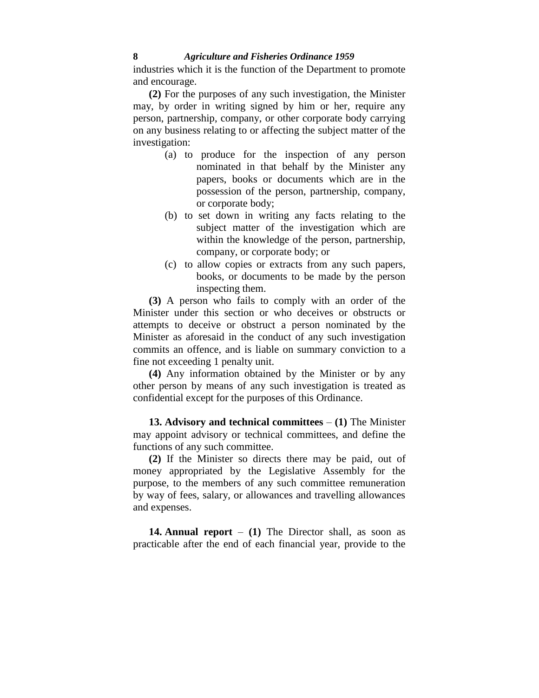industries which it is the function of the Department to promote and encourage.

**(2)** For the purposes of any such investigation, the Minister may, by order in writing signed by him or her, require any person, partnership, company, or other corporate body carrying on any business relating to or affecting the subject matter of the investigation:

- (a) to produce for the inspection of any person nominated in that behalf by the Minister any papers, books or documents which are in the possession of the person, partnership, company, or corporate body;
- (b) to set down in writing any facts relating to the subject matter of the investigation which are within the knowledge of the person, partnership, company, or corporate body; or
- (c) to allow copies or extracts from any such papers, books, or documents to be made by the person inspecting them.

**(3)** A person who fails to comply with an order of the Minister under this section or who deceives or obstructs or attempts to deceive or obstruct a person nominated by the Minister as aforesaid in the conduct of any such investigation commits an offence, and is liable on summary conviction to a fine not exceeding 1 penalty unit.

**(4)** Any information obtained by the Minister or by any other person by means of any such investigation is treated as confidential except for the purposes of this Ordinance.

**13. Advisory and technical committees** – **(1)** The Minister may appoint advisory or technical committees, and define the functions of any such committee.

**(2)** If the Minister so directs there may be paid, out of money appropriated by the Legislative Assembly for the purpose, to the members of any such committee remuneration by way of fees, salary, or allowances and travelling allowances and expenses.

**14. Annual report** – **(1)** The Director shall, as soon as practicable after the end of each financial year, provide to the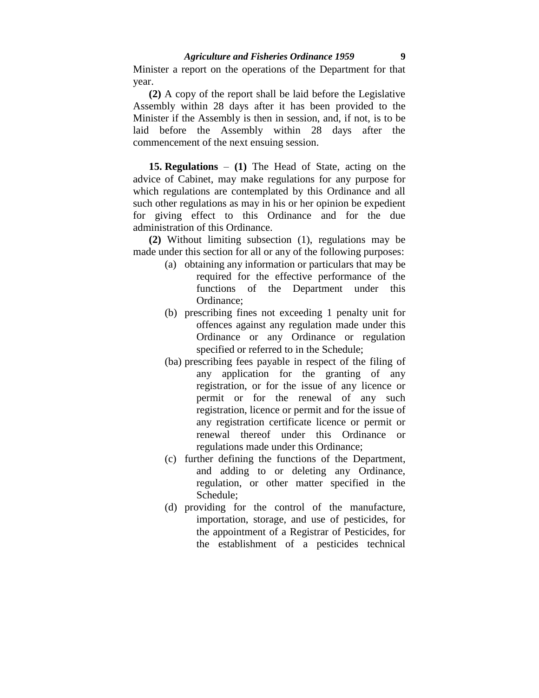Minister a report on the operations of the Department for that year.

**(2)** A copy of the report shall be laid before the Legislative Assembly within 28 days after it has been provided to the Minister if the Assembly is then in session, and, if not, is to be laid before the Assembly within 28 days after the commencement of the next ensuing session.

**15. Regulations** – **(1)** The Head of State, acting on the advice of Cabinet, may make regulations for any purpose for which regulations are contemplated by this Ordinance and all such other regulations as may in his or her opinion be expedient for giving effect to this Ordinance and for the due administration of this Ordinance.

**(2)** Without limiting subsection (1), regulations may be made under this section for all or any of the following purposes:

- (a) obtaining any information or particulars that may be required for the effective performance of the functions of the Department under this Ordinance;
- (b) prescribing fines not exceeding 1 penalty unit for offences against any regulation made under this Ordinance or any Ordinance or regulation specified or referred to in the Schedule;
- (ba) prescribing fees payable in respect of the filing of any application for the granting of any registration, or for the issue of any licence or permit or for the renewal of any such registration, licence or permit and for the issue of any registration certificate licence or permit or renewal thereof under this Ordinance or regulations made under this Ordinance;
- (c) further defining the functions of the Department, and adding to or deleting any Ordinance, regulation, or other matter specified in the Schedule;
- (d) providing for the control of the manufacture, importation, storage, and use of pesticides, for the appointment of a Registrar of Pesticides, for the establishment of a pesticides technical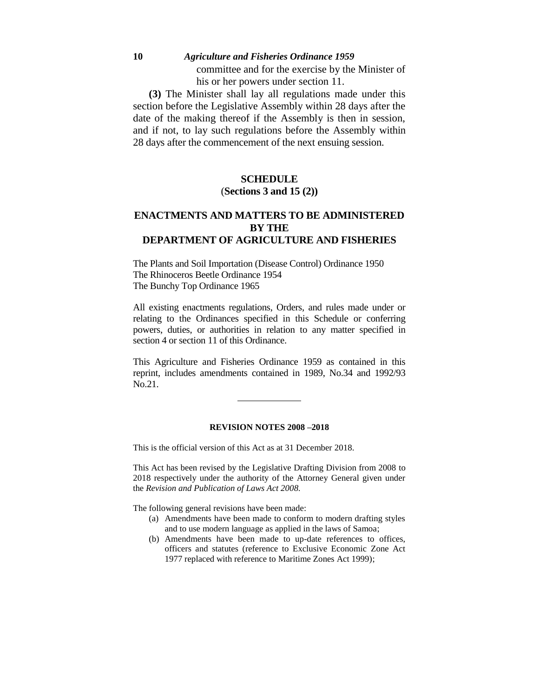## **10** *Agriculture and Fisheries Ordinance 1959* committee and for the exercise by the Minister of his or her powers under section 11.

**(3)** The Minister shall lay all regulations made under this section before the Legislative Assembly within 28 days after the date of the making thereof if the Assembly is then in session, and if not, to lay such regulations before the Assembly within 28 days after the commencement of the next ensuing session.

## **SCHEDULE** (**Sections 3 and 15 (2))**

## **ENACTMENTS AND MATTERS TO BE ADMINISTERED BY THE DEPARTMENT OF AGRICULTURE AND FISHERIES**

The Plants and Soil Importation (Disease Control) Ordinance 1950 The Rhinoceros Beetle Ordinance 1954 The Bunchy Top Ordinance 1965

All existing enactments regulations, Orders, and rules made under or relating to the Ordinances specified in this Schedule or conferring powers, duties, or authorities in relation to any matter specified in section 4 or section 11 of this Ordinance.

This Agriculture and Fisheries Ordinance 1959 as contained in this reprint, includes amendments contained in 1989, No.34 and 1992/93 No.21.

#### **REVISION NOTES 2008 –2018**

This is the official version of this Act as at 31 December 2018.

This Act has been revised by the Legislative Drafting Division from 2008 to 2018 respectively under the authority of the Attorney General given under the *Revision and Publication of Laws Act 2008.* 

The following general revisions have been made:

- (a) Amendments have been made to conform to modern drafting styles and to use modern language as applied in the laws of Samoa;
- (b) Amendments have been made to up-date references to offices, officers and statutes (reference to Exclusive Economic Zone Act 1977 replaced with reference to Maritime Zones Act 1999);